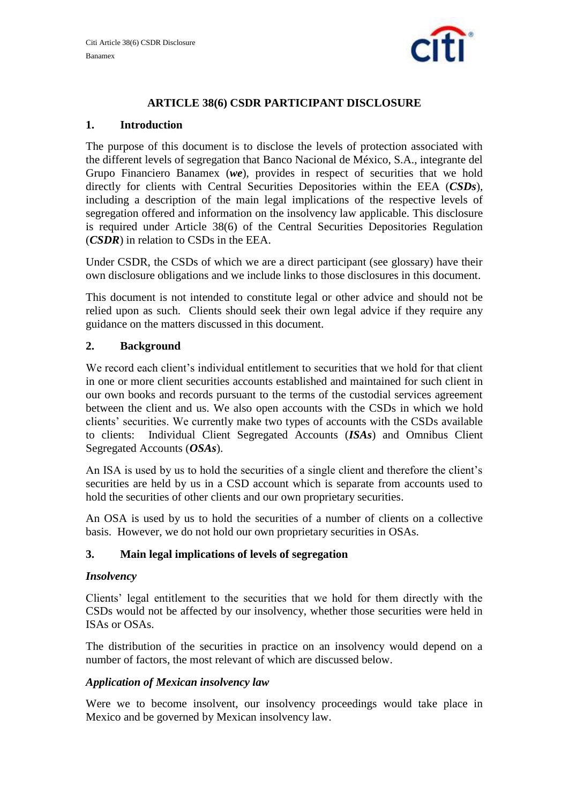

# **ARTICLE 38(6) CSDR PARTICIPANT DISCLOSURE**

## **1. Introduction**

The purpose of this document is to disclose the levels of protection associated with the different levels of segregation that Banco Nacional de México, S.A., integrante del Grupo Financiero Banamex (*we*), provides in respect of securities that we hold directly for clients with Central Securities Depositories within the EEA (*CSDs*), including a description of the main legal implications of the respective levels of segregation offered and information on the insolvency law applicable. This disclosure is required under Article 38(6) of the Central Securities Depositories Regulation (*CSDR*) in relation to CSDs in the EEA.

Under CSDR, the CSDs of which we are a direct participant (see glossary) have their own disclosure obligations and we include links to those disclosures in this document.

This document is not intended to constitute legal or other advice and should not be relied upon as such. Clients should seek their own legal advice if they require any guidance on the matters discussed in this document.

### **2. Background**

We record each client's individual entitlement to securities that we hold for that client in one or more client securities accounts established and maintained for such client in our own books and records pursuant to the terms of the custodial services agreement between the client and us. We also open accounts with the CSDs in which we hold clients' securities. We currently make two types of accounts with the CSDs available to clients: Individual Client Segregated Accounts (*ISAs*) and Omnibus Client Segregated Accounts (*OSAs*).

An ISA is used by us to hold the securities of a single client and therefore the client's securities are held by us in a CSD account which is separate from accounts used to hold the securities of other clients and our own proprietary securities.

An OSA is used by us to hold the securities of a number of clients on a collective basis. However, we do not hold our own proprietary securities in OSAs.

### **3. Main legal implications of levels of segregation**

### *Insolvency*

Clients' legal entitlement to the securities that we hold for them directly with the CSDs would not be affected by our insolvency, whether those securities were held in ISAs or OSAs.

The distribution of the securities in practice on an insolvency would depend on a number of factors, the most relevant of which are discussed below.

### *Application of Mexican insolvency law*

Were we to become insolvent, our insolvency proceedings would take place in Mexico and be governed by Mexican insolvency law.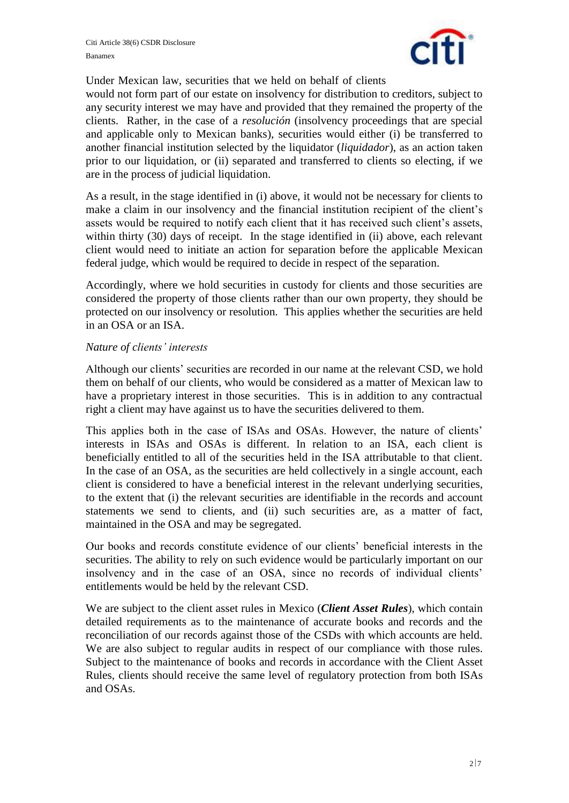

Under Mexican law, securities that we held on behalf of clients

would not form part of our estate on insolvency for distribution to creditors, subject to any security interest we may have and provided that they remained the property of the clients. Rather, in the case of a *resolución* (insolvency proceedings that are special and applicable only to Mexican banks), securities would either (i) be transferred to another financial institution selected by the liquidator (*liquidador*), as an action taken prior to our liquidation, or (ii) separated and transferred to clients so electing, if we are in the process of judicial liquidation.

As a result, in the stage identified in (i) above, it would not be necessary for clients to make a claim in our insolvency and the financial institution recipient of the client's assets would be required to notify each client that it has received such client's assets, within thirty (30) days of receipt. In the stage identified in (ii) above, each relevant client would need to initiate an action for separation before the applicable Mexican federal judge, which would be required to decide in respect of the separation.

Accordingly, where we hold securities in custody for clients and those securities are considered the property of those clients rather than our own property, they should be protected on our insolvency or resolution. This applies whether the securities are held in an OSA or an ISA.

#### *Nature of clients' interests*

Although our clients' securities are recorded in our name at the relevant CSD, we hold them on behalf of our clients, who would be considered as a matter of Mexican law to have a proprietary interest in those securities. This is in addition to any contractual right a client may have against us to have the securities delivered to them.

This applies both in the case of ISAs and OSAs. However, the nature of clients' interests in ISAs and OSAs is different. In relation to an ISA, each client is beneficially entitled to all of the securities held in the ISA attributable to that client. In the case of an OSA, as the securities are held collectively in a single account, each client is considered to have a beneficial interest in the relevant underlying securities, to the extent that (i) the relevant securities are identifiable in the records and account statements we send to clients, and (ii) such securities are, as a matter of fact, maintained in the OSA and may be segregated.

Our books and records constitute evidence of our clients' beneficial interests in the securities. The ability to rely on such evidence would be particularly important on our insolvency and in the case of an OSA, since no records of individual clients' entitlements would be held by the relevant CSD.

We are subject to the client asset rules in Mexico (*Client Asset Rules*), which contain detailed requirements as to the maintenance of accurate books and records and the reconciliation of our records against those of the CSDs with which accounts are held. We are also subject to regular audits in respect of our compliance with those rules. Subject to the maintenance of books and records in accordance with the Client Asset Rules, clients should receive the same level of regulatory protection from both ISAs and OSAs.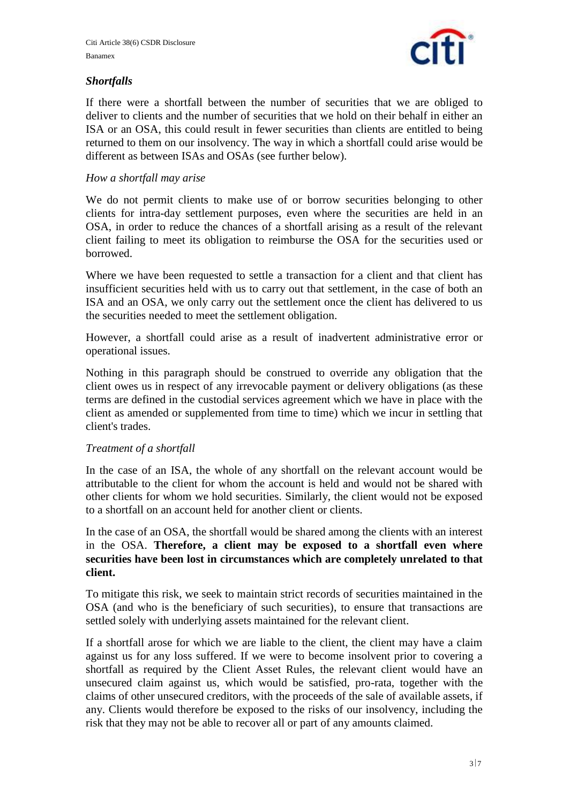

# *Shortfalls*

If there were a shortfall between the number of securities that we are obliged to deliver to clients and the number of securities that we hold on their behalf in either an ISA or an OSA, this could result in fewer securities than clients are entitled to being returned to them on our insolvency. The way in which a shortfall could arise would be different as between ISAs and OSAs (see further below).

## *How a shortfall may arise*

We do not permit clients to make use of or borrow securities belonging to other clients for intra-day settlement purposes, even where the securities are held in an OSA, in order to reduce the chances of a shortfall arising as a result of the relevant client failing to meet its obligation to reimburse the OSA for the securities used or borrowed.

Where we have been requested to settle a transaction for a client and that client has insufficient securities held with us to carry out that settlement, in the case of both an ISA and an OSA, we only carry out the settlement once the client has delivered to us the securities needed to meet the settlement obligation.

However, a shortfall could arise as a result of inadvertent administrative error or operational issues.

Nothing in this paragraph should be construed to override any obligation that the client owes us in respect of any irrevocable payment or delivery obligations (as these terms are defined in the custodial services agreement which we have in place with the client as amended or supplemented from time to time) which we incur in settling that client's trades.

### *Treatment of a shortfall*

In the case of an ISA, the whole of any shortfall on the relevant account would be attributable to the client for whom the account is held and would not be shared with other clients for whom we hold securities. Similarly, the client would not be exposed to a shortfall on an account held for another client or clients.

In the case of an OSA, the shortfall would be shared among the clients with an interest in the OSA. **Therefore, a client may be exposed to a shortfall even where securities have been lost in circumstances which are completely unrelated to that client.**

To mitigate this risk, we seek to maintain strict records of securities maintained in the OSA (and who is the beneficiary of such securities), to ensure that transactions are settled solely with underlying assets maintained for the relevant client.

If a shortfall arose for which we are liable to the client, the client may have a claim against us for any loss suffered. If we were to become insolvent prior to covering a shortfall as required by the Client Asset Rules, the relevant client would have an unsecured claim against us, which would be satisfied, pro-rata, together with the claims of other unsecured creditors, with the proceeds of the sale of available assets, if any. Clients would therefore be exposed to the risks of our insolvency, including the risk that they may not be able to recover all or part of any amounts claimed.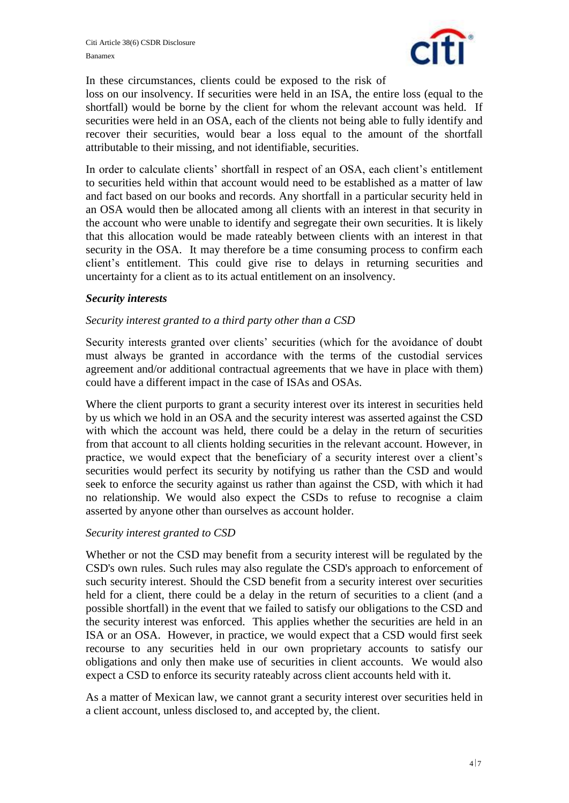

In these circumstances, clients could be exposed to the risk of

loss on our insolvency. If securities were held in an ISA, the entire loss (equal to the shortfall) would be borne by the client for whom the relevant account was held. If securities were held in an OSA, each of the clients not being able to fully identify and recover their securities, would bear a loss equal to the amount of the shortfall attributable to their missing, and not identifiable, securities.

In order to calculate clients' shortfall in respect of an OSA, each client's entitlement to securities held within that account would need to be established as a matter of law and fact based on our books and records. Any shortfall in a particular security held in an OSA would then be allocated among all clients with an interest in that security in the account who were unable to identify and segregate their own securities. It is likely that this allocation would be made rateably between clients with an interest in that security in the OSA. It may therefore be a time consuming process to confirm each client's entitlement. This could give rise to delays in returning securities and uncertainty for a client as to its actual entitlement on an insolvency.

#### *Security interests*

### *Security interest granted to a third party other than a CSD*

Security interests granted over clients' securities (which for the avoidance of doubt must always be granted in accordance with the terms of the custodial services agreement and/or additional contractual agreements that we have in place with them) could have a different impact in the case of ISAs and OSAs.

Where the client purports to grant a security interest over its interest in securities held by us which we hold in an OSA and the security interest was asserted against the CSD with which the account was held, there could be a delay in the return of securities from that account to all clients holding securities in the relevant account. However, in practice, we would expect that the beneficiary of a security interest over a client's securities would perfect its security by notifying us rather than the CSD and would seek to enforce the security against us rather than against the CSD, with which it had no relationship. We would also expect the CSDs to refuse to recognise a claim asserted by anyone other than ourselves as account holder.

#### *Security interest granted to CSD*

Whether or not the CSD may benefit from a security interest will be regulated by the CSD's own rules. Such rules may also regulate the CSD's approach to enforcement of such security interest. Should the CSD benefit from a security interest over securities held for a client, there could be a delay in the return of securities to a client (and a possible shortfall) in the event that we failed to satisfy our obligations to the CSD and the security interest was enforced. This applies whether the securities are held in an ISA or an OSA. However, in practice, we would expect that a CSD would first seek recourse to any securities held in our own proprietary accounts to satisfy our obligations and only then make use of securities in client accounts. We would also expect a CSD to enforce its security rateably across client accounts held with it.

As a matter of Mexican law, we cannot grant a security interest over securities held in a client account, unless disclosed to, and accepted by, the client.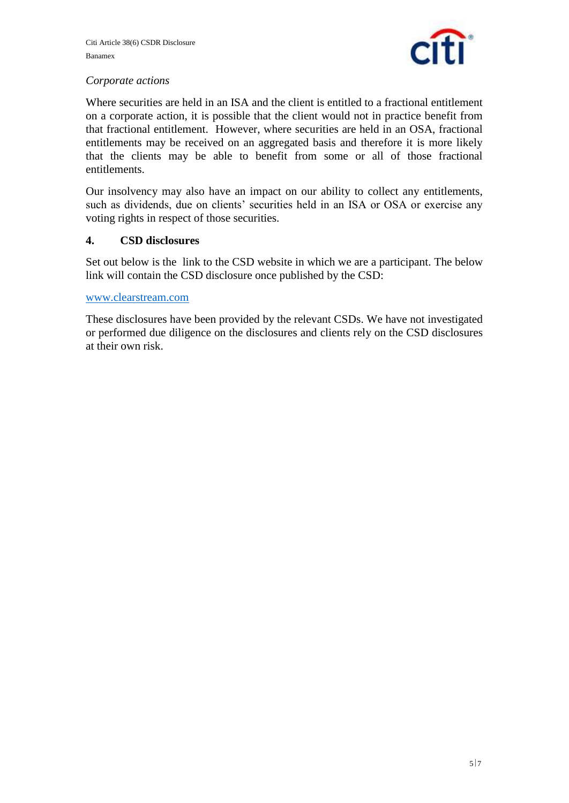

# *Corporate actions*

Where securities are held in an ISA and the client is entitled to a fractional entitlement on a corporate action, it is possible that the client would not in practice benefit from that fractional entitlement. However, where securities are held in an OSA, fractional entitlements may be received on an aggregated basis and therefore it is more likely that the clients may be able to benefit from some or all of those fractional entitlements.

Our insolvency may also have an impact on our ability to collect any entitlements, such as dividends, due on clients' securities held in an ISA or OSA or exercise any voting rights in respect of those securities.

### **4. CSD disclosures**

Set out below is the link to the CSD website in which we are a participant. The below link will contain the CSD disclosure once published by the CSD:

#### [www.clearstream.com](http://www.clearstream.com/)

These disclosures have been provided by the relevant CSDs. We have not investigated or performed due diligence on the disclosures and clients rely on the CSD disclosures at their own risk.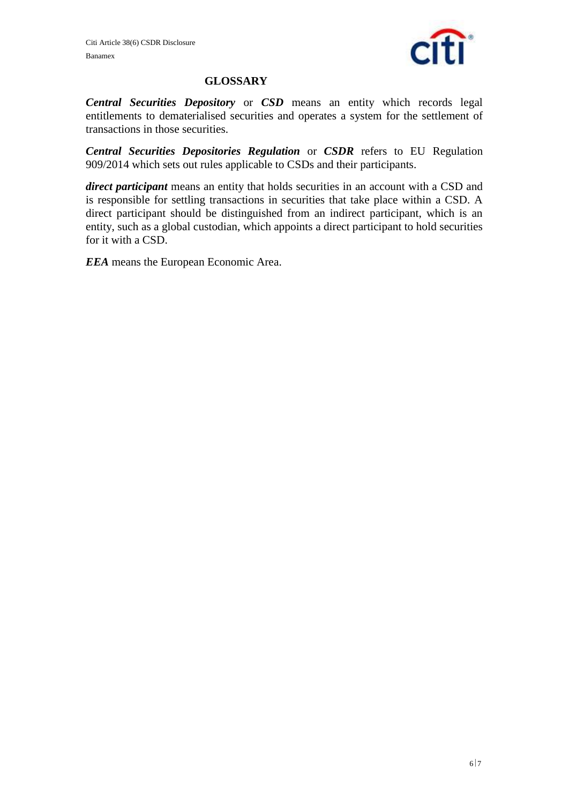

#### **GLOSSARY**

*Central Securities Depository* or *CSD* means an entity which records legal entitlements to dematerialised securities and operates a system for the settlement of transactions in those securities.

*Central Securities Depositories Regulation* or *CSDR* refers to EU Regulation 909/2014 which sets out rules applicable to CSDs and their participants.

*direct participant* means an entity that holds securities in an account with a CSD and is responsible for settling transactions in securities that take place within a CSD. A direct participant should be distinguished from an indirect participant, which is an entity, such as a global custodian, which appoints a direct participant to hold securities for it with a CSD.

*EEA* means the European Economic Area.